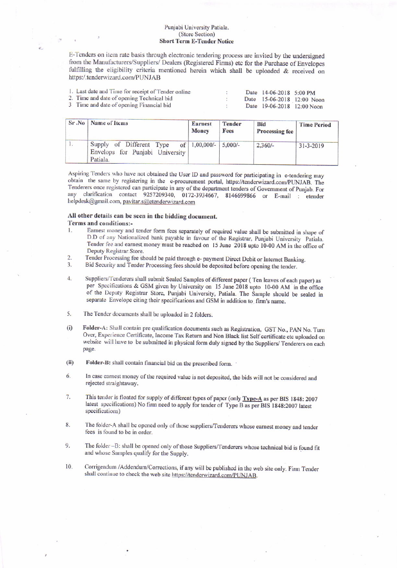## Punjabi University Patiala. (Store Section) **Short Term E-Tender Notice**

E-Tenders on item rate basis through electronic tendering process are invited by the undersigned from the Manufacturers/Suppliers/ Dealers (Registered Firms) etc for the Purchase of Envelopes fulfilling the eligibility criteria mentioned herein which shall be uploaded & received on https:/.tenderwizard.com/PUNJAB

| 1. Last date and Time for receipt of Tender online |  | Date 14-06-2018 5:00 PM |                            |
|----------------------------------------------------|--|-------------------------|----------------------------|
| 2. Time and date of opening Technical bid          |  |                         | Date 15-06-2018 12:00 Noon |
| 3 Time and date of opening Financial bid           |  |                         | Date 19-06-2018 12:00 Noon |

| Sr.No   Name of Items                                                   | <b>Earnest</b><br><b>Money</b> | <b>Tender</b><br>Fees | <b>Bid</b><br><b>Processing fee</b> | <b>Time Period</b> |  |
|-------------------------------------------------------------------------|--------------------------------|-----------------------|-------------------------------------|--------------------|--|
| Supply of Different Type<br>Envelops for Punjabi University<br>Patiala. | of   $1,00,000/-$   $5,000/-$  |                       | $2.360/-$                           | $31 - 3 - 2019$    |  |

Aspiring Tenders who have not obtained the User ID and password for participating in e-tendering may obtain the same by registering in the e-procurement portal, https://tenderwizard.com/PUNJAB. The Tenderers once registered can participate in any of the department tenders of Government of Punjab. For any clarification contact 9257209340, 0172-3934667, 8146699866 or E-mail : etender helpdesk@gmail.com, pavitar.s@etenderwizard.com

## All other details can be seen in the bidding document.

Terms and conditions:-

- 1. Earnest money and tender form fees separately of required value shall be submitted in shape of D.D of any Nationalized bank payable in favour of the Registrar, Punjabi University Patiala. Tender fee and earnest money must be reached on 15 June 2018 upto 10-00 AM in the office of Deputy Registrar Store.
- Tender Processing fee should be paid through e- payment Direct Debit or Internet Banking.  $\overline{2}$
- $3.$ Bid Security and Tender Processing fees should be deposited before opening the tender.
- $4.$ Suppliers/Tenderers shall submit Sealed Samples of different paper (Ten leaves of each paper) as per Specifications & GSM given by University on 15 June 2018 upto 10-00 AM in the office of the Deputy Registrar Store, Punjabi University, Patiala. The Sample should be sealed in separate Envelope citing their specifications and GSM in addition to firm's name.
- 5. The Tender documents shall be uploaded in 2 folders.
- Folder-A: Shall contain pre qualification documents such as Registration, GST No., PAN No. Turn  $(i)$ Over, Experience Certificate, Income Tax Return and Non Black list Self certificate etc uploaded on website will have to be submitted in physical form duly signed by the Suppliers/ Tenderers on each page.
- $(ii)$ Folder-B: shall contain financial bid on the prescribed form.
- 6. In case carnest money of the required value is not deposited, the bids will not be considered and rejected straightaway.
- 7. This tender is floated for supply of different types of paper (only Type-A as per BIS 1848: 2007 latest specifications) No firm need to apply for tender of Type B as per BIS 1848:2007 latest specifications)
- The folder-A shall be opened only of those suppliers/Tenderers whose earnest money and tender 8. fees is found to be in order.
- The folder -B: shall be opened only of those Suppliers/Tenderers whose technical bid is found fit 9. and whose Samples qualify for the Supply.
- 10. Corrigendum /Addendum/Corrections, if any will be published in the web site only. Firm Tender shall continue to check the web site https://tenderwizard.com/PUNJAB.